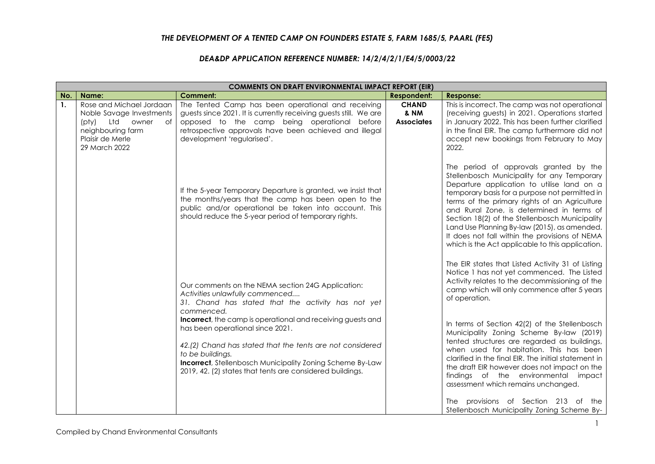## *THE DEVELOPMENT OF A TENTED CAMP ON FOUNDERS ESTATE 5, FARM 1685/5, PAARL (FE5)*

## *DEA&DP APPLICATION REFERENCE NUMBER: 14/2/4/2/1/E4/5/0003/22*

|                | <b>COMMENTS ON DRAFT ENVIRONMENTAL IMPACT REPORT (EIR)</b>                                                                                    |                                                                                                                                                                                                                                                                                                                                                                                                                                                                                |                                                      |                                                                                                                                                                                                                                                                                                                                                                                                                                                                                                                                                                                                  |  |
|----------------|-----------------------------------------------------------------------------------------------------------------------------------------------|--------------------------------------------------------------------------------------------------------------------------------------------------------------------------------------------------------------------------------------------------------------------------------------------------------------------------------------------------------------------------------------------------------------------------------------------------------------------------------|------------------------------------------------------|--------------------------------------------------------------------------------------------------------------------------------------------------------------------------------------------------------------------------------------------------------------------------------------------------------------------------------------------------------------------------------------------------------------------------------------------------------------------------------------------------------------------------------------------------------------------------------------------------|--|
| No.            | Name:                                                                                                                                         | <b>Comment:</b>                                                                                                                                                                                                                                                                                                                                                                                                                                                                | <b>Respondent:</b>                                   | <b>Response:</b>                                                                                                                                                                                                                                                                                                                                                                                                                                                                                                                                                                                 |  |
| $\mathbf{1}$ . | Rose and Michael Jordaan<br>Noble Savage Investments<br>(pty)<br>Ltd<br>owner<br>of<br>neighbouring farm<br>Plaisir de Merle<br>29 March 2022 | The Tented Camp has been operational and receiving<br>guests since 2021. It is currently receiving guests still. We are<br>opposed to the camp being operational before<br>retrospective approvals have been achieved and illegal<br>development 'regularised'.                                                                                                                                                                                                                | <b>CHAND</b><br><b>&amp; NM</b><br><b>Associates</b> | This is incorrect. The camp was not operational<br>(receiving guests) in 2021. Operations started<br>in January 2022. This has been further clarified<br>in the final EIR. The camp furthermore did not<br>accept new bookings from February to May<br>2022.                                                                                                                                                                                                                                                                                                                                     |  |
|                |                                                                                                                                               | If the 5-year Temporary Departure is granted, we insist that<br>the months/years that the camp has been open to the<br>public and/or operational be taken into account. This<br>should reduce the 5-year period of temporary rights.                                                                                                                                                                                                                                           |                                                      | The period of approvals granted by the<br>Stellenbosch Municipality for any Temporary<br>Departure application to utilise land on a<br>temporary basis for a purpose not permitted in<br>terms of the primary rights of an Agriculture<br>and Rural Zone, is determined in terms of<br>Section 18(2) of the Stellenbosch Municipality<br>Land Use Planning By-law (2015), as amended.<br>It does not fall within the provisions of NEMA<br>which is the Act applicable to this application.                                                                                                      |  |
|                |                                                                                                                                               | Our comments on the NEMA section 24G Application:<br>Activities unlawfully commenced<br>31. Chand has stated that the activity has not yet<br>commenced.<br>Incorrect, the camp is operational and receiving guests and<br>has been operational since 2021.<br>42.(2) Chand has stated that the tents are not considered<br>to be buildings.<br><b>Incorrect</b> , Stellenbosch Municipality Zoning Scheme By-Law<br>2019, 42. (2) states that tents are considered buildings. |                                                      | The EIR states that Listed Activity 31 of Listing<br>Notice 1 has not yet commenced. The Listed<br>Activity relates to the decommissioning of the<br>camp which will only commence after 5 years<br>of operation.<br>In terms of Section 42(2) of the Stellenbosch<br>Municipality Zoning Scheme By-law (2019)<br>tented structures are regarded as buildings,<br>when used for habitation. This has been<br>clarified in the final EIR. The initial statement in<br>the draft EIR however does not impact on the<br>findings of the environmental impact<br>assessment which remains unchanged. |  |
|                |                                                                                                                                               |                                                                                                                                                                                                                                                                                                                                                                                                                                                                                |                                                      | provisions of Section 213 of<br>The<br>the<br>Stellenbosch Municipality Zoning Scheme By-                                                                                                                                                                                                                                                                                                                                                                                                                                                                                                        |  |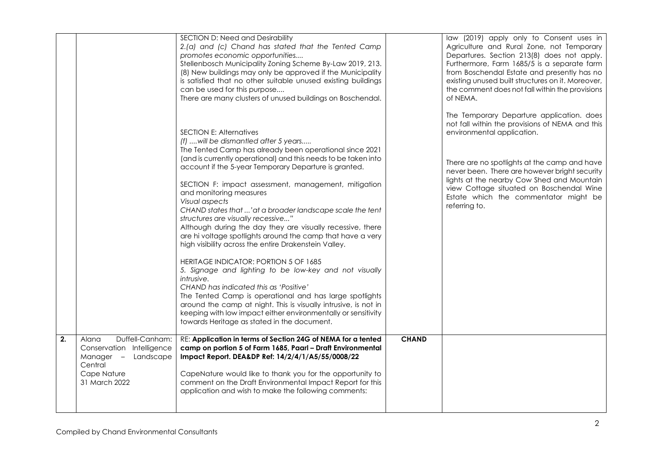|    |                                                                                                                         | SECTION D: Need and Desirability<br>2.(a) and (c) Chand has stated that the Tented Camp<br>promotes economic opportunities<br>Stellenbosch Municipality Zoning Scheme By-Law 2019, 213.<br>(8) New buildings may only be approved if the Municipality<br>is satisfied that no other suitable unused existing buildings<br>can be used for this purpose<br>There are many clusters of unused buildings on Boschendal.                                                                                                                                                                                                                                                                                                                                                                                                                                                                                                                                                                                                                                                      |              | law (2019) apply only to Consent uses in<br>Agriculture and Rural Zone, not Temporary<br>Departures. Section 213(8) does not apply.<br>Furthermore, Farm 1685/5 is a separate farm<br>from Boschendal Estate and presently has no<br>existing unused built structures on it. Moreover,<br>the comment does not fall within the provisions<br>of NEMA.                           |
|----|-------------------------------------------------------------------------------------------------------------------------|---------------------------------------------------------------------------------------------------------------------------------------------------------------------------------------------------------------------------------------------------------------------------------------------------------------------------------------------------------------------------------------------------------------------------------------------------------------------------------------------------------------------------------------------------------------------------------------------------------------------------------------------------------------------------------------------------------------------------------------------------------------------------------------------------------------------------------------------------------------------------------------------------------------------------------------------------------------------------------------------------------------------------------------------------------------------------|--------------|---------------------------------------------------------------------------------------------------------------------------------------------------------------------------------------------------------------------------------------------------------------------------------------------------------------------------------------------------------------------------------|
|    |                                                                                                                         | <b>SECTION E: Alternatives</b><br>(f)  will be dismantled after 5 years<br>The Tented Camp has already been operational since 2021<br>(and is currently operational) and this needs to be taken into<br>account if the 5-year Temporary Departure is granted.<br>SECTION F: impact assessment, management, mitigation<br>and monitoring measures<br>Visual aspects<br>CHAND states that 'at a broader landscape scale the tent<br>structures are visually recessive"<br>Although during the day they are visually recessive, there<br>are hi voltage spotlights around the camp that have a very<br>high visibility across the entire Drakenstein Valley.<br>HERITAGE INDICATOR: PORTION 5 OF 1685<br>5. Signage and lighting to be low-key and not visually<br><i>intrusive.</i><br>CHAND has indicated this as 'Positive'<br>The Tented Camp is operational and has large spotlights<br>around the camp at night. This is visually intrusive, is not in<br>keeping with low impact either environmentally or sensitivity<br>towards Heritage as stated in the document. |              | The Temporary Departure application. does<br>not fall within the provisions of NEMA and this<br>environmental application.<br>There are no spotlights at the camp and have<br>never been. There are however bright security<br>lights at the nearby Cow Shed and Mountain<br>view Cottage situated on Boschendal Wine<br>Estate which the commentator might be<br>referring to. |
| 2. | Duffell-Canham:<br>Alana<br>Conservation Intelligence<br>Manager - Landscape<br>Central<br>Cape Nature<br>31 March 2022 | RE: Application in terms of Section 24G of NEMA for a tented<br>camp on portion 5 of Farm 1685, Paarl - Draft Environmental<br>Impact Report. DEA&DP Ref: 14/2/4/1/A5/55/0008/22<br>CapeNature would like to thank you for the opportunity to<br>comment on the Draft Environmental Impact Report for this<br>application and wish to make the following comments:                                                                                                                                                                                                                                                                                                                                                                                                                                                                                                                                                                                                                                                                                                        | <b>CHAND</b> |                                                                                                                                                                                                                                                                                                                                                                                 |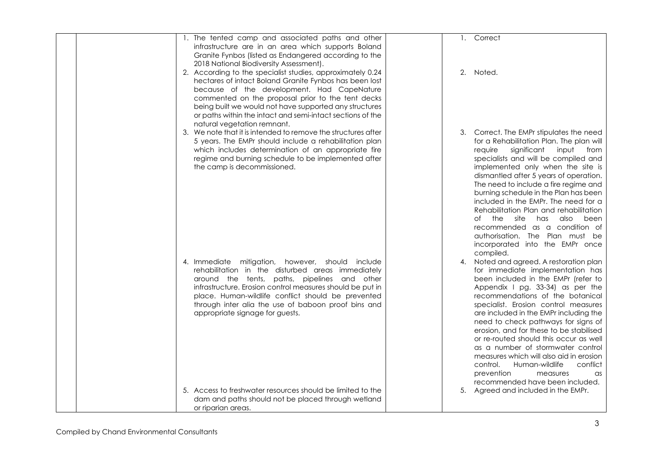| 1. The tented camp and associated paths and other<br>infrastructure are in an area which supports Boland<br>Granite Fynbos (listed as Endangered according to the<br>2018 National Biodiversity Assessment).                                                                                                                                                                   | 1. Correct                                                                                                                                                                                                                                                                                                                                                                                                                                                                                                                                                                                               |
|--------------------------------------------------------------------------------------------------------------------------------------------------------------------------------------------------------------------------------------------------------------------------------------------------------------------------------------------------------------------------------|----------------------------------------------------------------------------------------------------------------------------------------------------------------------------------------------------------------------------------------------------------------------------------------------------------------------------------------------------------------------------------------------------------------------------------------------------------------------------------------------------------------------------------------------------------------------------------------------------------|
| 2. According to the specialist studies, approximately 0.24<br>hectares of intact Boland Granite Fynbos has been lost<br>because of the development. Had CapeNature<br>commented on the proposal prior to the tent decks<br>being built we would not have supported any structures<br>or paths within the intact and semi-intact sections of the<br>natural vegetation remnant. | 2.<br>Noted.                                                                                                                                                                                                                                                                                                                                                                                                                                                                                                                                                                                             |
| 3. We note that it is intended to remove the structures after<br>5 years. The EMPr should include a rehabilitation plan<br>which includes determination of an appropriate fire<br>regime and burning schedule to be implemented after<br>the camp is decommissioned.                                                                                                           | 3. Correct. The EMPr stipulates the need<br>for a Rehabilitation Plan. The plan will<br>significant<br>input from<br>require<br>specialists and will be compiled and<br>implemented only when the site is<br>dismantled after 5 years of operation.<br>The need to include a fire regime and<br>burning schedule in the Plan has been<br>included in the EMPr. The need for a<br>Rehabilitation Plan and rehabilitation<br>of the<br>site<br>has<br>also been<br>recommended as a condition of<br>authorisation. The Plan must be<br>incorporated into the EMPr once<br>compiled.                        |
| 4. Immediate mitigation, however, should include<br>rehabilitation in the disturbed areas immediately<br>around the tents, paths, pipelines and other<br>infrastructure. Erosion control measures should be put in<br>place. Human-wildlife conflict should be prevented<br>through inter alia the use of baboon proof bins and<br>appropriate signage for guests.             | Noted and agreed. A restoration plan<br>4.<br>for immediate implementation has<br>been included in the EMPr (refer to<br>Appendix I pg. 33-34) as per the<br>recommendations of the botanical<br>specialist. Erosion control measures<br>are included in the EMPr including the<br>need to check pathways for signs of<br>erosion, and for these to be stabilised<br>or re-routed should this occur as well<br>as a number of stormwater control<br>measures which will also aid in erosion<br>Human-wildlife<br>conflict<br>control.<br>prevention<br>measures<br>as<br>recommended have been included. |
| 5. Access to freshwater resources should be limited to the<br>dam and paths should not be placed through wetland<br>or riparian areas.                                                                                                                                                                                                                                         | 5. Agreed and included in the EMPr.                                                                                                                                                                                                                                                                                                                                                                                                                                                                                                                                                                      |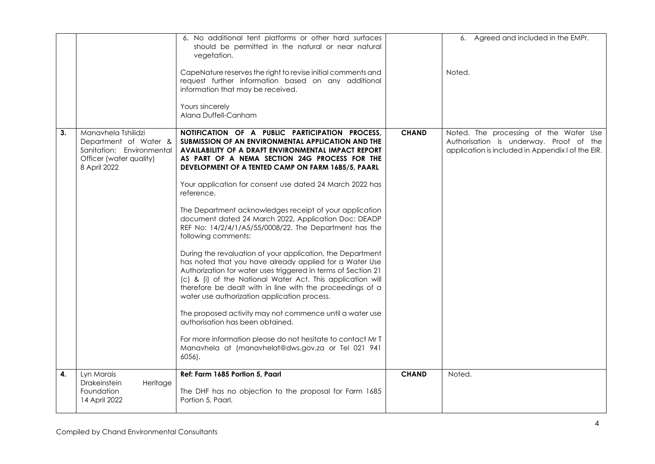|    |                                                                                                                      | 6. No additional tent platforms or other hard surfaces<br>should be permitted in the natural or near natural<br>vegetation.                                                                                                                                                                                                                                       |              | 6. Agreed and included in the EMPr.                                                                                                    |
|----|----------------------------------------------------------------------------------------------------------------------|-------------------------------------------------------------------------------------------------------------------------------------------------------------------------------------------------------------------------------------------------------------------------------------------------------------------------------------------------------------------|--------------|----------------------------------------------------------------------------------------------------------------------------------------|
|    |                                                                                                                      | CapeNature reserves the right to revise initial comments and<br>request further information based on any additional<br>information that may be received.                                                                                                                                                                                                          |              | Noted.                                                                                                                                 |
|    |                                                                                                                      | Yours sincerely<br>Alana Duffell-Canham                                                                                                                                                                                                                                                                                                                           |              |                                                                                                                                        |
| 3. | Manavhela Tshilidzi<br>Department of Water &<br>Sanitation: Environmental<br>Officer (water quality)<br>8 April 2022 | NOTIFICATION OF A PUBLIC PARTICIPATION PROCESS,<br>SUBMISSION OF AN ENVIRONMENTAL APPLICATION AND THE<br><b>AVAILABILITY OF A DRAFT ENVIRONMENTAL IMPACT REPORT</b><br>AS PART OF A NEMA SECTION 24G PROCESS FOR THE<br>DEVELOPMENT OF A TENTED CAMP ON FARM 1685/5, PAARL                                                                                        | <b>CHAND</b> | Noted. The processing of the Water Use<br>Authorisation is underway. Proof of the<br>application is included in Appendix I of the EIR. |
|    |                                                                                                                      | Your application for consent use dated 24 March 2022 has<br>reference.                                                                                                                                                                                                                                                                                            |              |                                                                                                                                        |
|    |                                                                                                                      | The Department acknowledges receipt of your application<br>document dated 24 March 2022, Application Doc: DEADP<br>REF No: 14/2/4/1/A5/55/0008/22. The Department has the<br>following comments:                                                                                                                                                                  |              |                                                                                                                                        |
|    |                                                                                                                      | During the revaluation of your application, the Department<br>has noted that you have already applied for a Water Use<br>Authorization for water uses triggered in terms of Section 21<br>(c) & (i) of the National Water Act. This application will<br>therefore be dealt with in line with the proceedings of a<br>water use authorization application process. |              |                                                                                                                                        |
|    |                                                                                                                      | The proposed activity may not commence until a water use<br>authorisation has been obtained.                                                                                                                                                                                                                                                                      |              |                                                                                                                                        |
|    |                                                                                                                      | For more information please do not hesitate to contact Mr T<br>Manavhela at (manavhelat@dws.gov.za or Tel 021 941<br>$6056$ ).                                                                                                                                                                                                                                    |              |                                                                                                                                        |
| 4. | Lyn Marais<br>Drakeinstein<br>Heritage<br>Foundation                                                                 | Ref: Farm 1685 Portion 5, Paarl<br>The DHF has no objection to the proposal for Farm 1685                                                                                                                                                                                                                                                                         | <b>CHAND</b> | Noted.                                                                                                                                 |
|    | 14 April 2022                                                                                                        | Portion 5, Paarl.                                                                                                                                                                                                                                                                                                                                                 |              |                                                                                                                                        |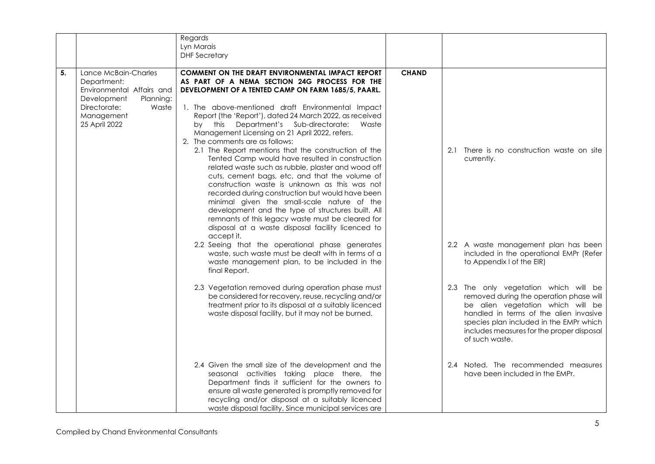|    |                                                                                                                                                      | Regards<br>Lyn Marais<br><b>DHF</b> Secretary                                                                                                                                                                                                                                                                                                                                                                                                                                                                                                                                                                                                                                                                                                                                                                                                                                                                                                                                                                                                                                                                                                           |              |                                                                                                                                                                                                                                                                           |
|----|------------------------------------------------------------------------------------------------------------------------------------------------------|---------------------------------------------------------------------------------------------------------------------------------------------------------------------------------------------------------------------------------------------------------------------------------------------------------------------------------------------------------------------------------------------------------------------------------------------------------------------------------------------------------------------------------------------------------------------------------------------------------------------------------------------------------------------------------------------------------------------------------------------------------------------------------------------------------------------------------------------------------------------------------------------------------------------------------------------------------------------------------------------------------------------------------------------------------------------------------------------------------------------------------------------------------|--------------|---------------------------------------------------------------------------------------------------------------------------------------------------------------------------------------------------------------------------------------------------------------------------|
| 5. | Lance McBain-Charles<br>Department:<br>Environmental Affairs and<br>Development<br>Planning:<br>Directorate:<br>Waste<br>Management<br>25 April 2022 | <b>COMMENT ON THE DRAFT ENVIRONMENTAL IMPACT REPORT</b><br>AS PART OF A NEMA SECTION 24G PROCESS FOR THE<br>DEVELOPMENT OF A TENTED CAMP ON FARM 1685/5, PAARL.<br>1. The above-mentioned draft Environmental Impact<br>Report (the 'Report'), dated 24 March 2022, as received<br>Department's Sub-directorate:<br>by this<br>Waste<br>Management Licensing on 21 April 2022, refers.<br>2. The comments are as follows:<br>2.1 The Report mentions that the construction of the<br>Tented Camp would have resulted in construction<br>related waste such as rubble, plaster and wood off<br>cuts, cement bags, etc, and that the volume of<br>construction waste is unknown as this was not<br>recorded during construction but would have been<br>minimal given the small-scale nature of the<br>development and the type of structures built. All<br>remnants of this legacy waste must be cleared for<br>disposal at a waste disposal facility licenced to<br>accept it.<br>2.2 Seeing that the operational phase generates<br>waste, such waste must be dealt with in terms of a<br>waste management plan, to be included in the<br>final Report. | <b>CHAND</b> | 2.1 There is no construction waste on site<br>currently.<br>2.2 A waste management plan has been<br>included in the operational EMPr (Refer<br>to Appendix I of the EIR)                                                                                                  |
|    |                                                                                                                                                      | 2.3 Vegetation removed during operation phase must<br>be considered for recovery, reuse, recycling and/or<br>treatment prior to its disposal at a suitably licenced<br>waste disposal facility, but it may not be burned.                                                                                                                                                                                                                                                                                                                                                                                                                                                                                                                                                                                                                                                                                                                                                                                                                                                                                                                               |              | 2.3 The only vegetation which will be<br>removed during the operation phase will<br>be alien vegetation which will be<br>handled in terms of the alien invasive<br>species plan included in the EMPr which<br>includes measures for the proper disposal<br>of such waste. |
|    |                                                                                                                                                      | 2.4 Given the small size of the development and the<br>seasonal activities taking place there, the<br>Department finds it sufficient for the owners to<br>ensure all waste generated is promptly removed for<br>recycling and/or disposal at a suitably licenced<br>waste disposal facility. Since municipal services are                                                                                                                                                                                                                                                                                                                                                                                                                                                                                                                                                                                                                                                                                                                                                                                                                               |              | 2.4 Noted. The recommended measures<br>have been included in the EMPr.                                                                                                                                                                                                    |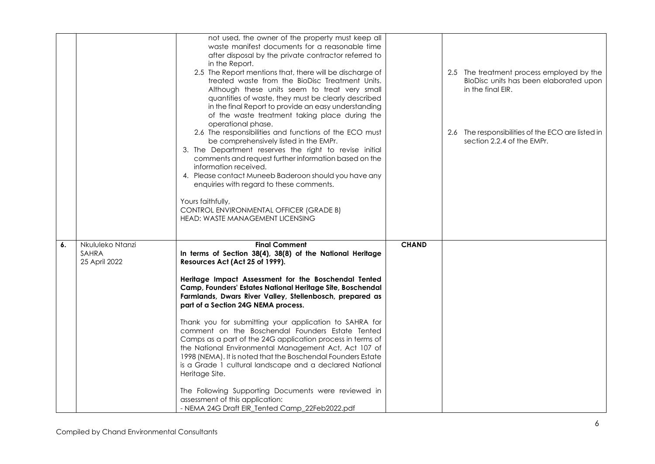|    |                                            | not used, the owner of the property must keep all<br>waste manifest documents for a reasonable time<br>after disposal by the private contractor referred to<br>in the Report.<br>2.5 The Report mentions that, there will be discharge of<br>treated waste from the BioDisc Treatment Units.<br>Although these units seem to treat very small<br>quantities of waste, they must be clearly described<br>in the final Report to provide an easy understanding<br>of the waste treatment taking place during the<br>operational phase.                                                                                                                                                                                                                                                                                                                                        |              | 2.5 The treatment process employed by the<br>BloDisc units has been elaborated upon<br>in the final EIR. |
|----|--------------------------------------------|-----------------------------------------------------------------------------------------------------------------------------------------------------------------------------------------------------------------------------------------------------------------------------------------------------------------------------------------------------------------------------------------------------------------------------------------------------------------------------------------------------------------------------------------------------------------------------------------------------------------------------------------------------------------------------------------------------------------------------------------------------------------------------------------------------------------------------------------------------------------------------|--------------|----------------------------------------------------------------------------------------------------------|
|    |                                            | 2.6 The responsibilities and functions of the ECO must<br>be comprehensively listed in the EMPr.<br>3. The Department reserves the right to revise initial<br>comments and request further information based on the<br>information received.<br>4. Please contact Muneeb Baderoon should you have any<br>enquiries with regard to these comments.<br>Yours faithfully,<br>CONTROL ENVIRONMENTAL OFFICER (GRADE B)<br>HEAD: WASTE MANAGEMENT LICENSING                                                                                                                                                                                                                                                                                                                                                                                                                       |              | 2.6 The responsibilities of the ECO are listed in<br>section 2.2.4 of the EMPr.                          |
| 6. | Nkululeko Ntanzi<br>SAHRA<br>25 April 2022 | <b>Final Comment</b><br>In terms of Section 38(4), 38(8) of the National Heritage<br>Resources Act (Act 25 of 1999).<br>Heritage Impact Assessment for the Boschendal Tented<br>Camp, Founders' Estates National Heritage Site, Boschendal<br>Farmlands, Dwars River Valley, Stellenbosch, prepared as<br>part of a Section 24G NEMA process.<br>Thank you for submitting your application to SAHRA for<br>comment on the Boschendal Founders Estate Tented<br>Camps as a part of the 24G application process in terms of<br>the National Environmental Management Act, Act 107 of<br>1998 (NEMA). It is noted that the Boschendal Founders Estate<br>is a Grade 1 cultural landscape and a declared National<br>Heritage Site.<br>The Following Supporting Documents were reviewed in<br>assessment of this application:<br>- NEMA 24G Draft EIR_Tented Camp_22Feb2022.pdf | <b>CHAND</b> |                                                                                                          |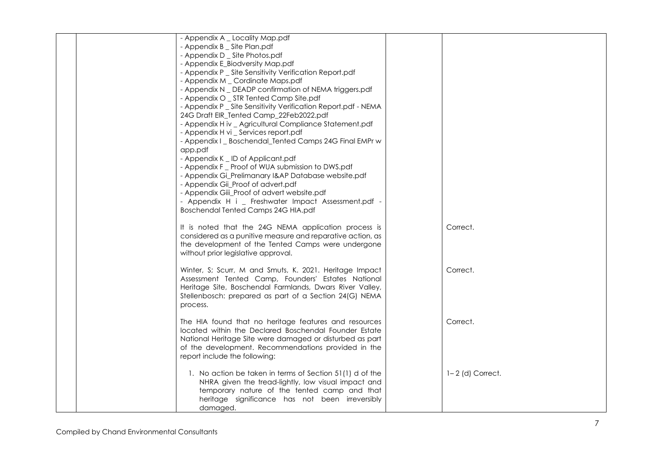|  | - Appendix A _ Locality Map.pdf                                |                      |
|--|----------------------------------------------------------------|----------------------|
|  | - Appendix B _ Site Plan.pdf<br>- Appendix D _ Site Photos.pdf |                      |
|  | - Appendix E_Biodversity Map.pdf                               |                      |
|  | - Appendix P _ Site Sensitivity Verification Report.pdf        |                      |
|  | - Appendix M _ Cordinate Maps.pdf                              |                      |
|  | - Appendix N _ DEADP confirmation of NEMA triggers.pdf         |                      |
|  | - Appendix O _ STR Tented Camp Site.pdf                        |                      |
|  | - Appendix P _ Site Sensitivity Verification Report.pdf - NEMA |                      |
|  | 24G Draft EIR_Tented Camp_22Feb2022.pdf                        |                      |
|  | - Appendix H iv _ Agricultural Compliance Statement.pdf        |                      |
|  | - Appendix H vi _ Services report.pdf                          |                      |
|  | - Appendix I _ Boschendal Tented Camps 24G Final EMPr w        |                      |
|  | app.pdf                                                        |                      |
|  | - Appendix K _ ID of Applicant.pdf                             |                      |
|  | - Appendix F _ Proof of WUA submission to DWS.pdf              |                      |
|  | - Appendix Gi_Prelimanary I&AP Database website.pdf            |                      |
|  | - Appendix Gii_Proof of advert.pdf                             |                      |
|  | - Appendix Giii_Proof of advert website.pdf                    |                      |
|  | - Appendix H i _ Freshwater Impact Assessment.pdf -            |                      |
|  | Boschendal Tented Camps 24G HIA.pdf                            |                      |
|  |                                                                |                      |
|  | It is noted that the 24G NEMA application process is           | Correct.             |
|  | considered as a punitive measure and reparative action, as     |                      |
|  | the development of the Tented Camps were undergone             |                      |
|  | without prior legislative approval.                            |                      |
|  | Winter, S; Scurr, M and Smuts, K. 2021. Heritage Impact        | Correct.             |
|  | Assessment Tented Camp, Founders' Estates National             |                      |
|  | Heritage Site, Boschendal Farmlands, Dwars River Valley,       |                      |
|  | Stellenbosch: prepared as part of a Section 24(G) NEMA         |                      |
|  | process.                                                       |                      |
|  |                                                                |                      |
|  | The HIA found that no heritage features and resources          | Correct.             |
|  | located within the Declared Boschendal Founder Estate          |                      |
|  | National Heritage Site were damaged or disturbed as part       |                      |
|  | of the development. Recommendations provided in the            |                      |
|  | report include the following:                                  |                      |
|  |                                                                |                      |
|  | 1. No action be taken in terms of Section 51(1) d of the       | $1 - 2$ (d) Correct. |
|  | NHRA given the tread-lightly, low visual impact and            |                      |
|  | temporary nature of the tented camp and that                   |                      |
|  | heritage significance has not been irreversibly                |                      |
|  | damaged.                                                       |                      |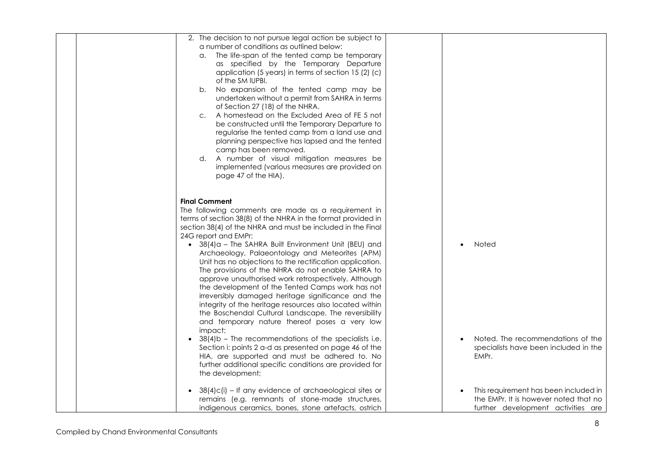| 2. The decision to not pursue legal action be subject to<br>a number of conditions as outlined below:<br>The life-span of the tented camp be temporary<br>α.<br>as specified by the Temporary Departure<br>application (5 years) in terms of section 15 (2) (c)<br>of the SM IUPBI.<br>No expansion of the tented camp may be<br>b.<br>undertaken without a permit from SAHRA in terms<br>of Section 27 (18) of the NHRA.<br>A homestead on the Excluded Area of FE 5 not<br>C.<br>be constructed until the Temporary Departure to<br>regularise the tented camp from a land use and<br>planning perspective has lapsed and the tented<br>camp has been removed.<br>d. A number of visual mitigation measures be<br>implemented (various measures are provided on<br>page 47 of the HIA).                            |                                                                                                                      |
|----------------------------------------------------------------------------------------------------------------------------------------------------------------------------------------------------------------------------------------------------------------------------------------------------------------------------------------------------------------------------------------------------------------------------------------------------------------------------------------------------------------------------------------------------------------------------------------------------------------------------------------------------------------------------------------------------------------------------------------------------------------------------------------------------------------------|----------------------------------------------------------------------------------------------------------------------|
| <b>Final Comment</b><br>The following comments are made as a requirement in<br>terms of section 38(8) of the NHRA in the format provided in<br>section 38(4) of the NHRA and must be included in the Final<br>24G report and EMPr:<br>$\bullet$ 38(4) $\alpha$ – The SAHRA Built Environment Unit (BEU) and<br>Archaeology, Palaeontology and Meteorites (APM)<br>Unit has no objections to the rectification application.<br>The provisions of the NHRA do not enable SAHRA to<br>approve unauthorised work retrospectively. Although<br>the development of the Tented Camps work has not<br>irreversibly damaged heritage significance and the<br>integrity of the heritage resources also located within<br>the Boschendal Cultural Landscape. The reversibility<br>and temporary nature thereof poses a very low | Noted                                                                                                                |
| impact;<br>38(4)b - The recommendations of the specialists i.e.<br>Section i: points 2 a-d as presented on page 46 of the<br>HIA, are supported and must be adhered to. No<br>further additional specific conditions are provided for<br>the development;                                                                                                                                                                                                                                                                                                                                                                                                                                                                                                                                                            | Noted. The recommendations of the<br>specialists have been included in the<br>EMPr.                                  |
| 38(4)c(i) - If any evidence of archaeological sites or<br>remains (e.g. remnants of stone-made structures,<br>indigenous ceramics, bones, stone artefacts, ostrich                                                                                                                                                                                                                                                                                                                                                                                                                                                                                                                                                                                                                                                   | This requirement has been included in<br>the EMPr. It is however noted that no<br>further development activities are |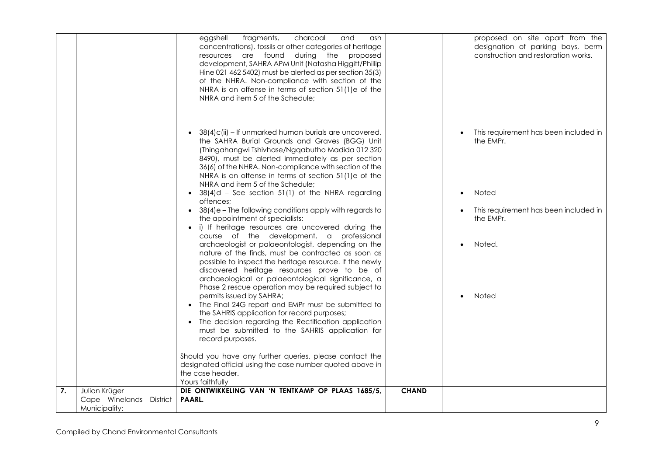|    |                                                           | charcoal<br>eggshell<br>fragments,<br>and<br>ash.<br>concentrations), fossils or other categories of heritage<br>resources are found during the proposed<br>development, SAHRA APM Unit (Natasha Higgitt/Phillip<br>Hine 021 462 5402) must be alerted as per section 35(3)<br>of the NHRA. Non-compliance with section of the<br>NHRA is an offense in terms of section 51(1)e of the<br>NHRA and item 5 of the Schedule;     |              | proposed on site apart from the<br>designation of parking bays, berm<br>construction and restoration works. |
|----|-----------------------------------------------------------|--------------------------------------------------------------------------------------------------------------------------------------------------------------------------------------------------------------------------------------------------------------------------------------------------------------------------------------------------------------------------------------------------------------------------------|--------------|-------------------------------------------------------------------------------------------------------------|
|    |                                                           | 38(4)c(ii) - If unmarked human burials are uncovered,<br>the SAHRA Burial Grounds and Graves (BGG) Unit<br>(Thingahangwi Tshivhase/Ngqabutho Madida 012 320<br>8490), must be alerted immediately as per section<br>36(6) of the NHRA. Non-compliance with section of the<br>NHRA is an offense in terms of section 51(1)e of the<br>NHRA and item 5 of the Schedule;<br>• $38(4)$ d – See section 51(1) of the NHRA regarding |              | This requirement has been included in<br>the EMPr.<br>Noted<br>$\bullet$                                    |
|    |                                                           | offences:<br>38(4)e - The following conditions apply with regards to<br>the appointment of specialists:<br>• i) If heritage resources are uncovered during the                                                                                                                                                                                                                                                                 |              | This requirement has been included in<br>the EMPr.                                                          |
|    |                                                           | course of the development, a professional<br>archaeologist or palaeontologist, depending on the<br>nature of the finds, must be contracted as soon as<br>possible to inspect the heritage resource. If the newly<br>discovered heritage resources prove to be of<br>archaeological or palaeontological significance, a<br>Phase 2 rescue operation may be required subject to                                                  |              | Noted.                                                                                                      |
|    |                                                           | permits issued by SAHRA;<br>• The Final 24G report and EMPr must be submitted to<br>the SAHRIS application for record purposes;<br>The decision regarding the Rectification application<br>must be submitted to the SAHRIS application for<br>record purposes.                                                                                                                                                                 |              | Noted                                                                                                       |
|    |                                                           | Should you have any further queries, please contact the<br>designated official using the case number quoted above in<br>the case header.<br>Yours faithfully                                                                                                                                                                                                                                                                   |              |                                                                                                             |
| 7. | Julian Krüger<br>Cape Winelands District<br>Municipality: | DIE ONTWIKKELING VAN 'N TENTKAMP OP PLAAS 1685/5,<br>PAARL.                                                                                                                                                                                                                                                                                                                                                                    | <b>CHAND</b> |                                                                                                             |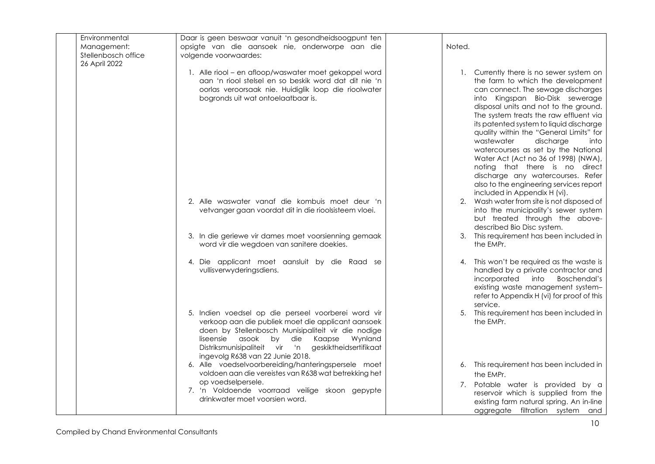| Environmental<br>Management:<br>Stellenbosch office<br>26 April 2022 | Daar is geen beswaar vanuit 'n gesondheidsoogpunt ten<br>opsigte van die aansoek nie, onderworpe aan die<br>volgende voorwaardes:                                                                                                                                                                       | Noted. |                                                                                                                                                                                                                                                                                                                                                                                                                                                                                                                                                                                                     |
|----------------------------------------------------------------------|---------------------------------------------------------------------------------------------------------------------------------------------------------------------------------------------------------------------------------------------------------------------------------------------------------|--------|-----------------------------------------------------------------------------------------------------------------------------------------------------------------------------------------------------------------------------------------------------------------------------------------------------------------------------------------------------------------------------------------------------------------------------------------------------------------------------------------------------------------------------------------------------------------------------------------------------|
|                                                                      | 1. Alle riool - en afloop/waswater moet gekoppel word<br>aan 'n riool stelsel en so beskik word dat dit nie 'n<br>oorlas veroorsaak nie. Huidiglik loop die rioolwater<br>bogronds uit wat ontoelaatbaar is.                                                                                            |        | 1. Currently there is no sewer system on<br>the farm to which the development<br>can connect. The sewage discharges<br>into Kingspan Bio-Disk sewerage<br>disposal units and not to the ground.<br>The system treats the raw effluent via<br>its patented system to liquid discharge<br>quality within the "General Limits" for<br>wastewater<br>discharge<br>into<br>watercourses as set by the National<br>Water Act (Act no 36 of 1998) (NWA),<br>noting that there is no direct<br>discharge any watercourses. Refer<br>also to the engineering services report<br>included in Appendix H (vi). |
|                                                                      | 2. Alle waswater vanaf die kombuis moet deur 'n<br>vetvanger gaan voordat dit in die rioolsisteem vloei.                                                                                                                                                                                                |        | 2. Wash water from site is not disposed of<br>into the municipality's sewer system<br>but treated through the above-<br>described Bio Disc system.                                                                                                                                                                                                                                                                                                                                                                                                                                                  |
|                                                                      | 3. In die geriewe vir dames moet voorsienning gemaak<br>word vir die wegdoen van sanitere doekies.                                                                                                                                                                                                      |        | 3. This requirement has been included in<br>the EMPr.                                                                                                                                                                                                                                                                                                                                                                                                                                                                                                                                               |
|                                                                      | 4. Die applicant moet aansluit by die Raad se<br>vullisverwyderingsdiens.                                                                                                                                                                                                                               | 4.     | This won't be required as the waste is<br>handled by a private contractor and<br>incorporated<br><b>Boschendal's</b><br>into<br>existing waste management system-<br>refer to Appendix H (vi) for proof of this<br>service.                                                                                                                                                                                                                                                                                                                                                                         |
|                                                                      | 5. Indien voedsel op die perseel voorberei word vir<br>verkoop aan die publiek moet die applicant aansoek<br>doen by Stellenbosch Munisipaliteit vir die nodige<br>liseensie asook by die Kaapse<br>Wynland<br>Distriksmunisipaliteit vir 'n geskiktheidsertifikaat<br>ingevolg R638 van 22 Junie 2018. |        | 5. This requirement has been included in<br>the EMPr.                                                                                                                                                                                                                                                                                                                                                                                                                                                                                                                                               |
|                                                                      | 6. Alle voedselvoorbereiding/hanteringspersele moet<br>voldoen aan die vereistes van R638 wat betrekking het<br>op voedselpersele.                                                                                                                                                                      |        | 6. This requirement has been included in<br>the EMPr.                                                                                                                                                                                                                                                                                                                                                                                                                                                                                                                                               |
|                                                                      | 7. 'n Voldoende voorraad veilige skoon gepypte<br>drinkwater moet voorsien word.                                                                                                                                                                                                                        |        | 7. Potable water is provided by a<br>reservoir which is supplied from the<br>existing farm natural spring. An in-line<br>aggregate filtration system and                                                                                                                                                                                                                                                                                                                                                                                                                                            |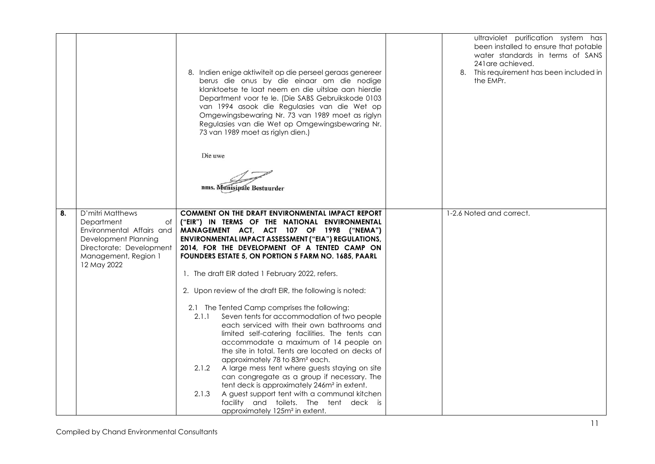|    |                                                                                                                                                              | 8. Indien enige aktiwiteit op die perseel geraas genereer<br>berus die onus by die einaar om die nodige<br>klanktoetse te laat neem en die uitslae aan hierdie<br>Department voor te le. (Die SABS Gebruikskode 0103<br>van 1994 asook die Regulasies van die Wet op<br>Omgewingsbewaring Nr. 73 van 1989 moet as riglyn<br>Regulasies van die Wet op Omgewingsbewaring Nr.<br>73 van 1989 moet as riglyn dien.)<br>Die uwe<br>nms. Munisipale Bestuurder | ultraviolet purification system has<br>been installed to ensure that potable<br>water standards in terms of SANS<br>241 are achieved.<br>8. This requirement has been included in<br>the EMPr. |
|----|--------------------------------------------------------------------------------------------------------------------------------------------------------------|-----------------------------------------------------------------------------------------------------------------------------------------------------------------------------------------------------------------------------------------------------------------------------------------------------------------------------------------------------------------------------------------------------------------------------------------------------------|------------------------------------------------------------------------------------------------------------------------------------------------------------------------------------------------|
| 8. | D'mitri Matthews<br>Department<br>оf<br>Environmental Affairs and<br>Development Planning<br>Directorate: Development<br>Management, Region 1<br>12 May 2022 | COMMENT ON THE DRAFT ENVIRONMENTAL IMPACT REPORT<br>("EIR") IN TERMS OF THE NATIONAL ENVIRONMENTAL<br>MANAGEMENT ACT, ACT 107 OF 1998 ("NEMA")<br>ENVIRONMENTAL IMPACT ASSESSMENT ("EIA") REGULATIONS,<br>2014, FOR THE DEVELOPMENT OF A TENTED CAMP ON<br>FOUNDERS ESTATE 5, ON PORTION 5 FARM NO. 1685, PAARL                                                                                                                                           | 1-2.6 Noted and correct.                                                                                                                                                                       |
|    |                                                                                                                                                              | 1. The draft EIR dated 1 February 2022, refers.                                                                                                                                                                                                                                                                                                                                                                                                           |                                                                                                                                                                                                |
|    |                                                                                                                                                              | 2. Upon review of the draft EIR, the following is noted:                                                                                                                                                                                                                                                                                                                                                                                                  |                                                                                                                                                                                                |
|    |                                                                                                                                                              | 2.1 The Tented Camp comprises the following:<br>Seven tents for accommodation of two people<br>2.1.1<br>each serviced with their own bathrooms and<br>limited self-catering facilities. The tents can<br>accommodate a maximum of 14 people on<br>the site in total. Tents are located on decks of<br>approximately 78 to 83m <sup>2</sup> each.                                                                                                          |                                                                                                                                                                                                |
|    |                                                                                                                                                              | 2.1.2<br>A large mess tent where guests staying on site<br>can congregate as a group if necessary. The<br>tent deck is approximately 246m <sup>2</sup> in extent.                                                                                                                                                                                                                                                                                         |                                                                                                                                                                                                |
|    |                                                                                                                                                              | A guest support tent with a communal kitchen<br>2.1.3<br>facility and toilets. The tent deck is<br>approximately 125m <sup>2</sup> in extent.                                                                                                                                                                                                                                                                                                             |                                                                                                                                                                                                |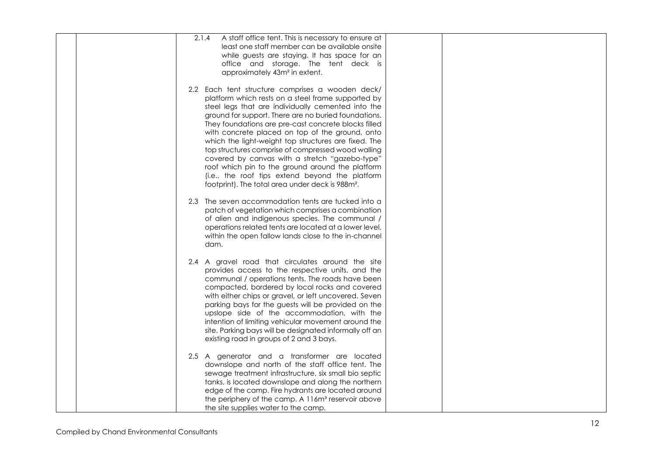| 2.1.4<br>A staff office tent. This is necessary to ensure at                                                                                                                                                                                                                                                                     |  |
|----------------------------------------------------------------------------------------------------------------------------------------------------------------------------------------------------------------------------------------------------------------------------------------------------------------------------------|--|
| least one staff member can be available onsite                                                                                                                                                                                                                                                                                   |  |
| while guests are staying. It has space for an                                                                                                                                                                                                                                                                                    |  |
|                                                                                                                                                                                                                                                                                                                                  |  |
| office and storage. The tent deck is                                                                                                                                                                                                                                                                                             |  |
| approximately 43m <sup>2</sup> in extent.                                                                                                                                                                                                                                                                                        |  |
|                                                                                                                                                                                                                                                                                                                                  |  |
| 2.2 Each tent structure comprises a wooden deck/                                                                                                                                                                                                                                                                                 |  |
| platform which rests on a steel frame supported by                                                                                                                                                                                                                                                                               |  |
| steel legs that are individually cemented into the                                                                                                                                                                                                                                                                               |  |
| ground for support. There are no buried foundations.                                                                                                                                                                                                                                                                             |  |
| They foundations are pre-cast concrete blocks filled                                                                                                                                                                                                                                                                             |  |
| with concrete placed on top of the ground, onto                                                                                                                                                                                                                                                                                  |  |
| which the light-weight top structures are fixed. The                                                                                                                                                                                                                                                                             |  |
| top structures comprise of compressed wood walling                                                                                                                                                                                                                                                                               |  |
| covered by canvas with a stretch "gazebo-type"                                                                                                                                                                                                                                                                                   |  |
| roof which pin to the ground around the platform                                                                                                                                                                                                                                                                                 |  |
| (i.e., the roof tips extend beyond the platform                                                                                                                                                                                                                                                                                  |  |
| footprint). The total area under deck is 988m <sup>2</sup> .                                                                                                                                                                                                                                                                     |  |
|                                                                                                                                                                                                                                                                                                                                  |  |
| 2.3 The seven accommodation tents are tucked into a                                                                                                                                                                                                                                                                              |  |
| patch of vegetation which comprises a combination                                                                                                                                                                                                                                                                                |  |
| of alien and indigenous species. The communal /                                                                                                                                                                                                                                                                                  |  |
| operations related tents are located at a lower level,                                                                                                                                                                                                                                                                           |  |
| within the open fallow lands close to the in-channel                                                                                                                                                                                                                                                                             |  |
| dam.                                                                                                                                                                                                                                                                                                                             |  |
|                                                                                                                                                                                                                                                                                                                                  |  |
| 2.4 A gravel road that circulates around the site                                                                                                                                                                                                                                                                                |  |
| provides access to the respective units, and the                                                                                                                                                                                                                                                                                 |  |
| communal / operations tents. The roads have been                                                                                                                                                                                                                                                                                 |  |
| compacted, bordered by local rocks and covered                                                                                                                                                                                                                                                                                   |  |
| with either chips or gravel, or left uncovered. Seven                                                                                                                                                                                                                                                                            |  |
| parking bays for the guests will be provided on the                                                                                                                                                                                                                                                                              |  |
| upslope side of the accommodation, with the                                                                                                                                                                                                                                                                                      |  |
| intention of limiting vehicular movement around the                                                                                                                                                                                                                                                                              |  |
| site. Parking bays will be designated informally off an                                                                                                                                                                                                                                                                          |  |
| existing road in groups of 2 and 3 bays.                                                                                                                                                                                                                                                                                         |  |
|                                                                                                                                                                                                                                                                                                                                  |  |
| 2.5 A generator and a transformer are located                                                                                                                                                                                                                                                                                    |  |
|                                                                                                                                                                                                                                                                                                                                  |  |
|                                                                                                                                                                                                                                                                                                                                  |  |
|                                                                                                                                                                                                                                                                                                                                  |  |
|                                                                                                                                                                                                                                                                                                                                  |  |
|                                                                                                                                                                                                                                                                                                                                  |  |
|                                                                                                                                                                                                                                                                                                                                  |  |
| downslope and north of the staff office tent. The<br>sewage treatment infrastructure, six small bio septic<br>tanks, is located downslope and along the northern<br>edge of the camp. Fire hydrants are located around<br>the periphery of the camp. A 116m <sup>3</sup> reservoir above<br>the site supplies water to the camp. |  |